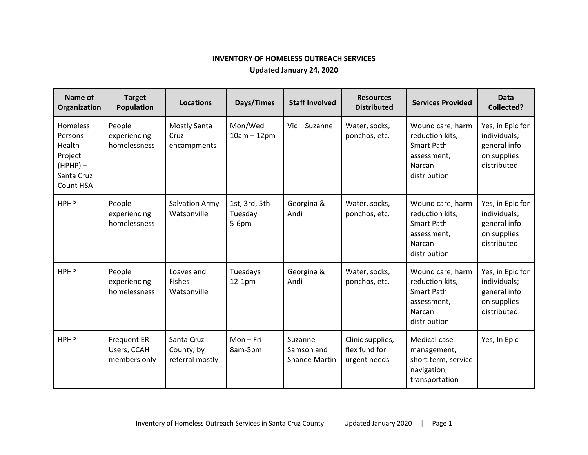## **INVENTORY OF HOMELESS OUTREACH SERVICES**

**Updated January 24, 2020**

| Name of<br>Organization                                                                  | <b>Target</b><br><b>Population</b>                | <b>Locations</b>                            | Days/Times                          | <b>Staff Involved</b>                         | <b>Resources</b><br><b>Distributed</b>            | <b>Services Provided</b>                                                                          | <b>Data</b><br><b>Collected?</b>                                               |
|------------------------------------------------------------------------------------------|---------------------------------------------------|---------------------------------------------|-------------------------------------|-----------------------------------------------|---------------------------------------------------|---------------------------------------------------------------------------------------------------|--------------------------------------------------------------------------------|
| <b>Homeless</b><br>Persons<br>Health<br>Project<br>$(HPHP)$ –<br>Santa Cruz<br>Count HSA | People<br>experiencing<br>homelessness            | Mostly Santa<br>Cruz<br>encampments         | Mon/Wed<br>$10am - 12pm$            | Vic + Suzanne                                 | Water, socks,<br>ponchos, etc.                    | Wound care, harm<br>reduction kits,<br><b>Smart Path</b><br>assessment,<br>Narcan<br>distribution | Yes, in Epic for<br>individuals;<br>general info<br>on supplies<br>distributed |
| <b>HPHP</b>                                                                              | People<br>experiencing<br>homelessness            | <b>Salvation Army</b><br>Watsonville        | 1st, 3rd, 5th<br>Tuesday<br>$5-6pm$ | Georgina &<br>Andi                            | Water, socks,<br>ponchos, etc.                    | Wound care, harm<br>reduction kits,<br><b>Smart Path</b><br>assessment,<br>Narcan<br>distribution | Yes, in Epic for<br>individuals;<br>general info<br>on supplies<br>distributed |
| <b>HPHP</b>                                                                              | People<br>experiencing<br>homelessness            | Loaves and<br><b>Fishes</b><br>Watsonville  | Tuesdays<br>$12-1pm$                | Georgina &<br>Andi                            | Water, socks,<br>ponchos, etc.                    | Wound care, harm<br>reduction kits,<br><b>Smart Path</b><br>assessment,<br>Narcan<br>distribution | Yes, in Epic for<br>individuals;<br>general info<br>on supplies<br>distributed |
| <b>HPHP</b>                                                                              | <b>Frequent ER</b><br>Users, CCAH<br>members only | Santa Cruz<br>County, by<br>referral mostly | Mon-Fri<br>8am-5pm                  | Suzanne<br>Samson and<br><b>Shanee Martin</b> | Clinic supplies,<br>flex fund for<br>urgent needs | Medical case<br>management,<br>short term, service<br>navigation,<br>transportation               | Yes, In Epic                                                                   |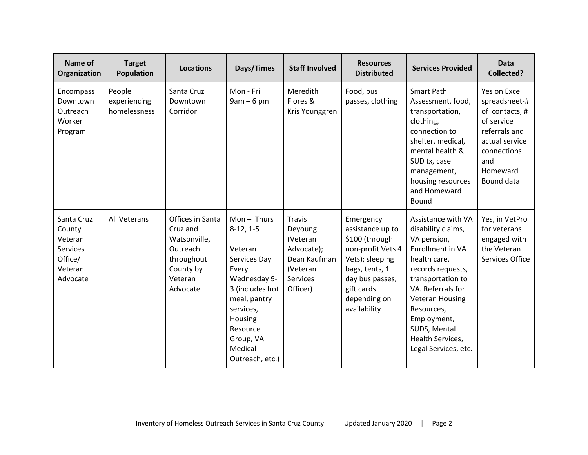| Name of<br>Organization                                                       | <b>Target</b><br><b>Population</b>     | <b>Locations</b>                                                                                           | Days/Times                                                                                                                                                                                        | <b>Staff Involved</b>                                                                                         | <b>Resources</b><br><b>Distributed</b>                                                                                                                                     | <b>Services Provided</b>                                                                                                                                                                                                                                                             | <b>Data</b><br><b>Collected?</b>                                                                                                                 |
|-------------------------------------------------------------------------------|----------------------------------------|------------------------------------------------------------------------------------------------------------|---------------------------------------------------------------------------------------------------------------------------------------------------------------------------------------------------|---------------------------------------------------------------------------------------------------------------|----------------------------------------------------------------------------------------------------------------------------------------------------------------------------|--------------------------------------------------------------------------------------------------------------------------------------------------------------------------------------------------------------------------------------------------------------------------------------|--------------------------------------------------------------------------------------------------------------------------------------------------|
| Encompass<br>Downtown<br>Outreach<br>Worker<br>Program                        | People<br>experiencing<br>homelessness | Santa Cruz<br>Downtown<br>Corridor                                                                         | Mon - Fri<br>$9am - 6pm$                                                                                                                                                                          | Meredith<br>Flores &<br>Kris Younggren                                                                        | Food, bus<br>passes, clothing                                                                                                                                              | <b>Smart Path</b><br>Assessment, food,<br>transportation,<br>clothing,<br>connection to<br>shelter, medical,<br>mental health &<br>SUD tx, case<br>management,<br>housing resources<br>and Homeward<br>Bound                                                                         | Yes on Excel<br>spreadsheet-#<br>of contacts, #<br>of service<br>referrals and<br>actual service<br>connections<br>and<br>Homeward<br>Bound data |
| Santa Cruz<br>County<br>Veteran<br>Services<br>Office/<br>Veteran<br>Advocate | All Veterans                           | Offices in Santa<br>Cruz and<br>Watsonville,<br>Outreach<br>throughout<br>County by<br>Veteran<br>Advocate | $Mon - Thus$<br>$8-12, 1-5$<br>Veteran<br>Services Day<br>Every<br>Wednesday 9-<br>3 (includes hot<br>meal, pantry<br>services,<br>Housing<br>Resource<br>Group, VA<br>Medical<br>Outreach, etc.) | <b>Travis</b><br>Deyoung<br>(Veteran<br>Advocate);<br>Dean Kaufman<br>(Veteran<br><b>Services</b><br>Officer) | Emergency<br>assistance up to<br>\$100 (through<br>non-profit Vets 4<br>Vets); sleeping<br>bags, tents, 1<br>day bus passes,<br>gift cards<br>depending on<br>availability | Assistance with VA<br>disability claims,<br>VA pension,<br><b>Enrollment in VA</b><br>health care,<br>records requests,<br>transportation to<br>VA. Referrals for<br><b>Veteran Housing</b><br>Resources,<br>Employment,<br>SUDS, Mental<br>Health Services,<br>Legal Services, etc. | Yes, in VetPro<br>for veterans<br>engaged with<br>the Veteran<br>Services Office                                                                 |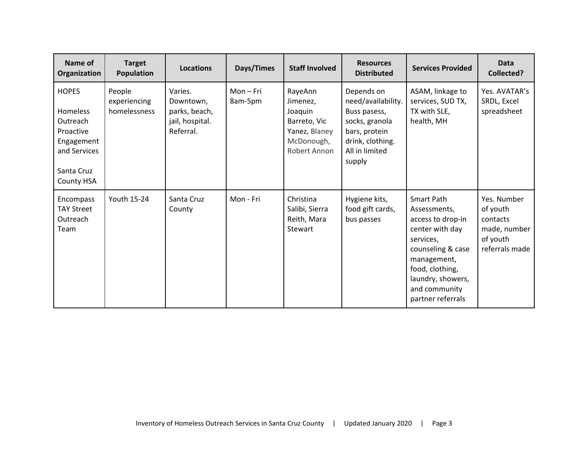| Name of<br>Organization                                                                                     | <b>Target</b><br>Population            | <b>Locations</b>                                                      | Days/Times           | <b>Staff Involved</b>                                                                         | <b>Resources</b><br><b>Distributed</b>                                                                                              | <b>Services Provided</b>                                                                                                                                                                          | <b>Data</b><br><b>Collected?</b>                                                  |
|-------------------------------------------------------------------------------------------------------------|----------------------------------------|-----------------------------------------------------------------------|----------------------|-----------------------------------------------------------------------------------------------|-------------------------------------------------------------------------------------------------------------------------------------|---------------------------------------------------------------------------------------------------------------------------------------------------------------------------------------------------|-----------------------------------------------------------------------------------|
| <b>HOPES</b><br>Homeless<br>Outreach<br>Proactive<br>Engagement<br>and Services<br>Santa Cruz<br>County HSA | People<br>experiencing<br>homelessness | Varies.<br>Downtown,<br>parks, beach,<br>jail, hospital.<br>Referral. | Mon – Fri<br>8am-5pm | RayeAnn<br>Jimenez,<br>Joaquin<br>Barreto, Vic<br>Yanez, Blaney<br>McDonough,<br>Robert Annon | Depends on<br>need/availability.<br>Buss pasess,<br>socks, granola<br>bars, protein<br>drink, clothing.<br>All in limited<br>supply | ASAM, linkage to<br>services, SUD TX,<br>TX with SLE,<br>health, MH                                                                                                                               | Yes. AVATAR's<br>SRDL, Excel<br>spreadsheet                                       |
| Encompass<br><b>TAY Street</b><br>Outreach<br>Team                                                          | <b>Youth 15-24</b>                     | Santa Cruz<br>County                                                  | Mon - Fri            | Christina<br>Salibi, Sierra<br>Reith, Mara<br>Stewart                                         | Hygiene kits,<br>food gift cards,<br>bus passes                                                                                     | Smart Path<br>Assessments,<br>access to drop-in<br>center with day<br>services,<br>counseling & case<br>management,<br>food, clothing,<br>laundry, showers,<br>and community<br>partner referrals | Yes. Number<br>of youth<br>contacts<br>made, number<br>of youth<br>referrals made |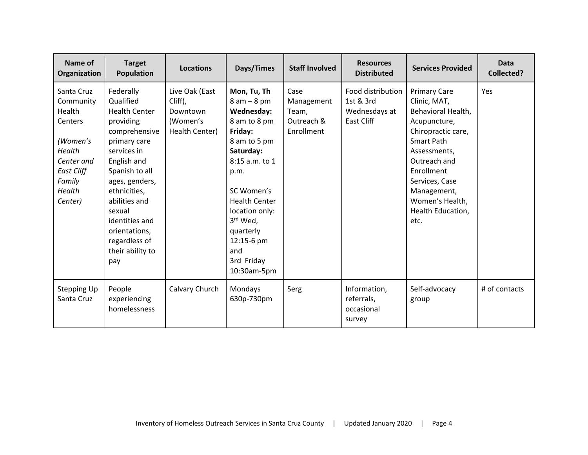| Name of<br>Organization                                                                                                              | <b>Target</b><br><b>Population</b>                                                                                                                                                                                                                                                       | <b>Locations</b>                                                    | Days/Times                                                                                                                                                                                                                                                                  | <b>Staff Involved</b>                                   | <b>Resources</b><br><b>Distributed</b>                        | <b>Services Provided</b>                                                                                                                                                                                                                            | <b>Data</b><br><b>Collected?</b> |
|--------------------------------------------------------------------------------------------------------------------------------------|------------------------------------------------------------------------------------------------------------------------------------------------------------------------------------------------------------------------------------------------------------------------------------------|---------------------------------------------------------------------|-----------------------------------------------------------------------------------------------------------------------------------------------------------------------------------------------------------------------------------------------------------------------------|---------------------------------------------------------|---------------------------------------------------------------|-----------------------------------------------------------------------------------------------------------------------------------------------------------------------------------------------------------------------------------------------------|----------------------------------|
| Santa Cruz<br>Community<br>Health<br>Centers<br>(Women's<br>Health<br>Center and<br><b>East Cliff</b><br>Family<br>Health<br>Center) | Federally<br>Qualified<br><b>Health Center</b><br>providing<br>comprehensive<br>primary care<br>services in<br>English and<br>Spanish to all<br>ages, genders,<br>ethnicities,<br>abilities and<br>sexual<br>identities and<br>orientations,<br>regardless of<br>their ability to<br>pay | Live Oak (East<br>Cliff),<br>Downtown<br>(Women's<br>Health Center) | Mon, Tu, Th<br>$8 am - 8 pm$<br>Wednesday:<br>8 am to 8 pm<br>Friday:<br>8 am to 5 pm<br>Saturday:<br>8:15 a.m. to 1<br>p.m.<br>SC Women's<br><b>Health Center</b><br>location only:<br>3 <sup>rd</sup> Wed,<br>quarterly<br>12:15-6 pm<br>and<br>3rd Friday<br>10:30am-5pm | Case<br>Management<br>Team,<br>Outreach &<br>Enrollment | Food distribution<br>1st & 3rd<br>Wednesdays at<br>East Cliff | <b>Primary Care</b><br>Clinic, MAT,<br>Behavioral Health,<br>Acupuncture,<br>Chiropractic care,<br><b>Smart Path</b><br>Assessments,<br>Outreach and<br>Enrollment<br>Services, Case<br>Management,<br>Women's Health,<br>Health Education,<br>etc. | Yes                              |
| Stepping Up<br>Santa Cruz                                                                                                            | People<br>experiencing<br>homelessness                                                                                                                                                                                                                                                   | Calvary Church                                                      | Mondays<br>630p-730pm                                                                                                                                                                                                                                                       | Serg                                                    | Information,<br>referrals,<br>occasional<br>survey            | Self-advocacy<br>group                                                                                                                                                                                                                              | # of contacts                    |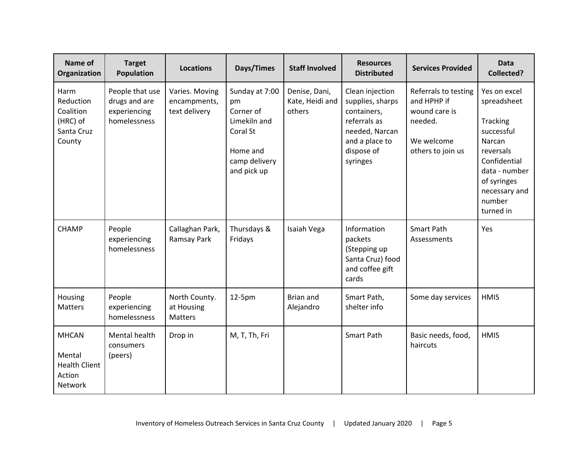| Name of<br>Organization                                             | <b>Target</b><br><b>Population</b>                               | <b>Locations</b>                                | Days/Times                                                                                                | <b>Staff Involved</b>                      | <b>Resources</b><br><b>Distributed</b>                                                                                           | <b>Services Provided</b>                                                                           | <b>Data</b><br><b>Collected?</b>                                                                                                                                            |
|---------------------------------------------------------------------|------------------------------------------------------------------|-------------------------------------------------|-----------------------------------------------------------------------------------------------------------|--------------------------------------------|----------------------------------------------------------------------------------------------------------------------------------|----------------------------------------------------------------------------------------------------|-----------------------------------------------------------------------------------------------------------------------------------------------------------------------------|
| Harm<br>Reduction<br>Coalition<br>(HRC) of<br>Santa Cruz<br>County  | People that use<br>drugs and are<br>experiencing<br>homelessness | Varies. Moving<br>encampments,<br>text delivery | Sunday at 7:00<br>pm<br>Corner of<br>Limekiln and<br>Coral St<br>Home and<br>camp delivery<br>and pick up | Denise, Dani,<br>Kate, Heidi and<br>others | Clean injection<br>supplies, sharps<br>containers,<br>referrals as<br>needed, Narcan<br>and a place to<br>dispose of<br>syringes | Referrals to testing<br>and HPHP if<br>wound care is<br>needed.<br>We welcome<br>others to join us | Yes on excel<br>spreadsheet<br><b>Tracking</b><br>successful<br>Narcan<br>reversals<br>Confidential<br>data - number<br>of syringes<br>necessary and<br>number<br>turned in |
| <b>CHAMP</b>                                                        | People<br>experiencing<br>homelessness                           | Callaghan Park,<br>Ramsay Park                  | Thursdays &<br>Fridays                                                                                    | Isaiah Vega                                | Information<br>packets<br>(Stepping up<br>Santa Cruz) food<br>and coffee gift<br>cards                                           | <b>Smart Path</b><br>Assessments                                                                   | Yes                                                                                                                                                                         |
| Housing<br>Matters                                                  | People<br>experiencing<br>homelessness                           | North County.<br>at Housing<br><b>Matters</b>   | 12-5pm                                                                                                    | <b>Brian and</b><br>Alejandro              | Smart Path,<br>shelter info                                                                                                      | Some day services                                                                                  | <b>HMIS</b>                                                                                                                                                                 |
| <b>MHCAN</b><br>Mental<br><b>Health Client</b><br>Action<br>Network | Mental health<br>consumers<br>(peers)                            | Drop in                                         | M, T, Th, Fri                                                                                             |                                            | Smart Path                                                                                                                       | Basic needs, food,<br>haircuts                                                                     | <b>HMIS</b>                                                                                                                                                                 |